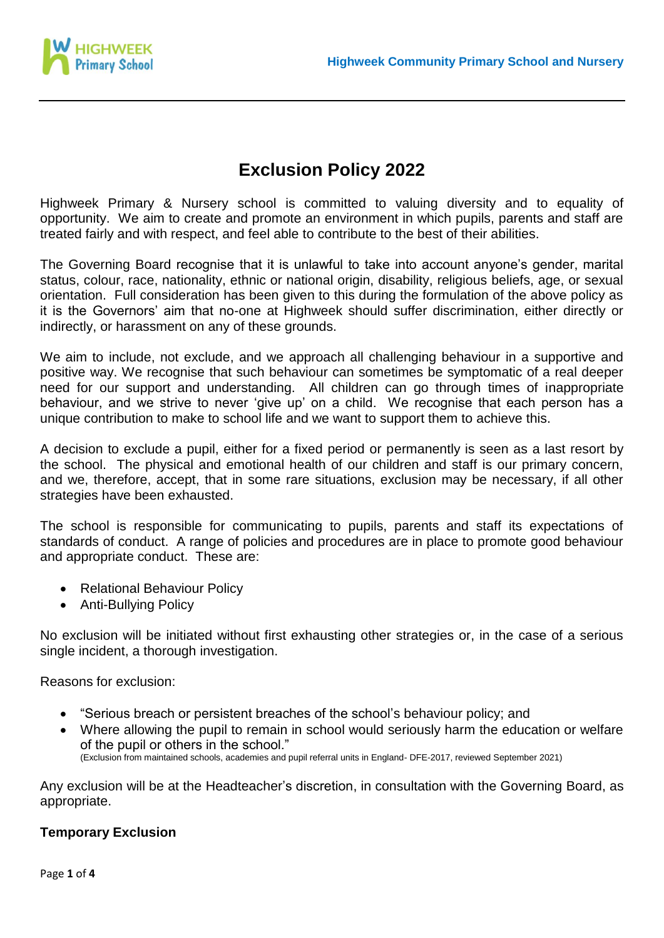

# **Exclusion Policy 2022**

Highweek Primary & Nursery school is committed to valuing diversity and to equality of opportunity. We aim to create and promote an environment in which pupils, parents and staff are treated fairly and with respect, and feel able to contribute to the best of their abilities.

The Governing Board recognise that it is unlawful to take into account anyone's gender, marital status, colour, race, nationality, ethnic or national origin, disability, religious beliefs, age, or sexual orientation. Full consideration has been given to this during the formulation of the above policy as it is the Governors' aim that no-one at Highweek should suffer discrimination, either directly or indirectly, or harassment on any of these grounds.

We aim to include, not exclude, and we approach all challenging behaviour in a supportive and positive way. We recognise that such behaviour can sometimes be symptomatic of a real deeper need for our support and understanding. All children can go through times of inappropriate behaviour, and we strive to never 'give up' on a child. We recognise that each person has a unique contribution to make to school life and we want to support them to achieve this.

A decision to exclude a pupil, either for a fixed period or permanently is seen as a last resort by the school. The physical and emotional health of our children and staff is our primary concern, and we, therefore, accept, that in some rare situations, exclusion may be necessary, if all other strategies have been exhausted.

The school is responsible for communicating to pupils, parents and staff its expectations of standards of conduct. A range of policies and procedures are in place to promote good behaviour and appropriate conduct. These are:

- Relational Behaviour Policy
- Anti-Bullying Policy

No exclusion will be initiated without first exhausting other strategies or, in the case of a serious single incident, a thorough investigation.

Reasons for exclusion:

- "Serious breach or persistent breaches of the school's behaviour policy; and
- Where allowing the pupil to remain in school would seriously harm the education or welfare of the pupil or others in the school." (Exclusion from maintained schools, academies and pupil referral units in England- DFE-2017, reviewed September 2021)

Any exclusion will be at the Headteacher's discretion, in consultation with the Governing Board, as appropriate.

#### **Temporary Exclusion**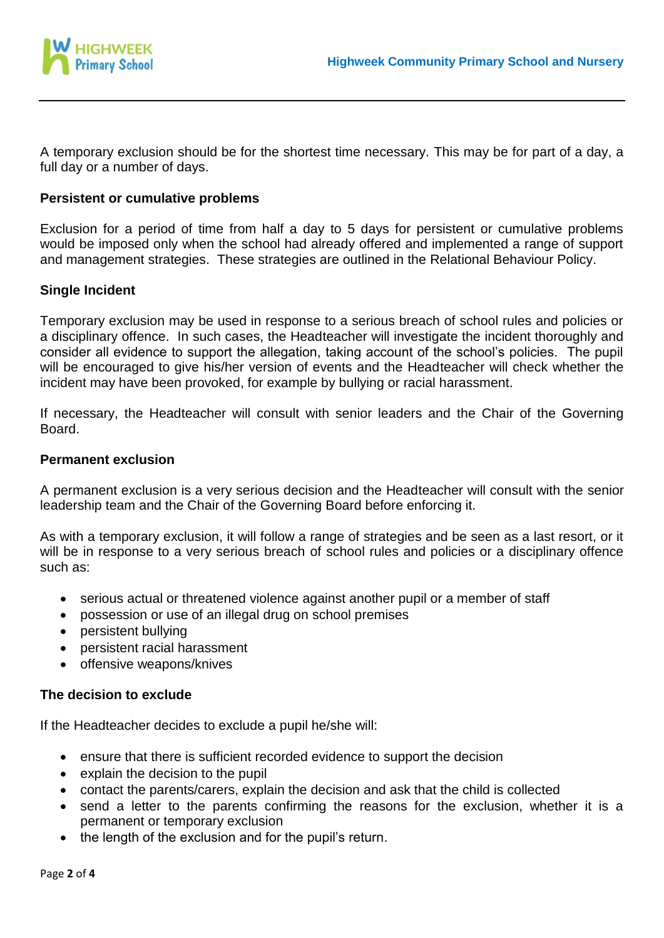

A temporary exclusion should be for the shortest time necessary. This may be for part of a day, a full day or a number of days.

## **Persistent or cumulative problems**

Exclusion for a period of time from half a day to 5 days for persistent or cumulative problems would be imposed only when the school had already offered and implemented a range of support and management strategies. These strategies are outlined in the Relational Behaviour Policy.

## **Single Incident**

Temporary exclusion may be used in response to a serious breach of school rules and policies or a disciplinary offence. In such cases, the Headteacher will investigate the incident thoroughly and consider all evidence to support the allegation, taking account of the school's policies. The pupil will be encouraged to give his/her version of events and the Headteacher will check whether the incident may have been provoked, for example by bullying or racial harassment.

If necessary, the Headteacher will consult with senior leaders and the Chair of the Governing Board.

### **Permanent exclusion**

A permanent exclusion is a very serious decision and the Headteacher will consult with the senior leadership team and the Chair of the Governing Board before enforcing it.

As with a temporary exclusion, it will follow a range of strategies and be seen as a last resort, or it will be in response to a very serious breach of school rules and policies or a disciplinary offence such as:

- serious actual or threatened violence against another pupil or a member of staff
- possession or use of an illegal drug on school premises
- persistent bullying
- persistent racial harassment
- offensive weapons/knives

#### **The decision to exclude**

If the Headteacher decides to exclude a pupil he/she will:

- ensure that there is sufficient recorded evidence to support the decision
- explain the decision to the pupil
- contact the parents/carers, explain the decision and ask that the child is collected
- send a letter to the parents confirming the reasons for the exclusion, whether it is a permanent or temporary exclusion
- the length of the exclusion and for the pupil's return.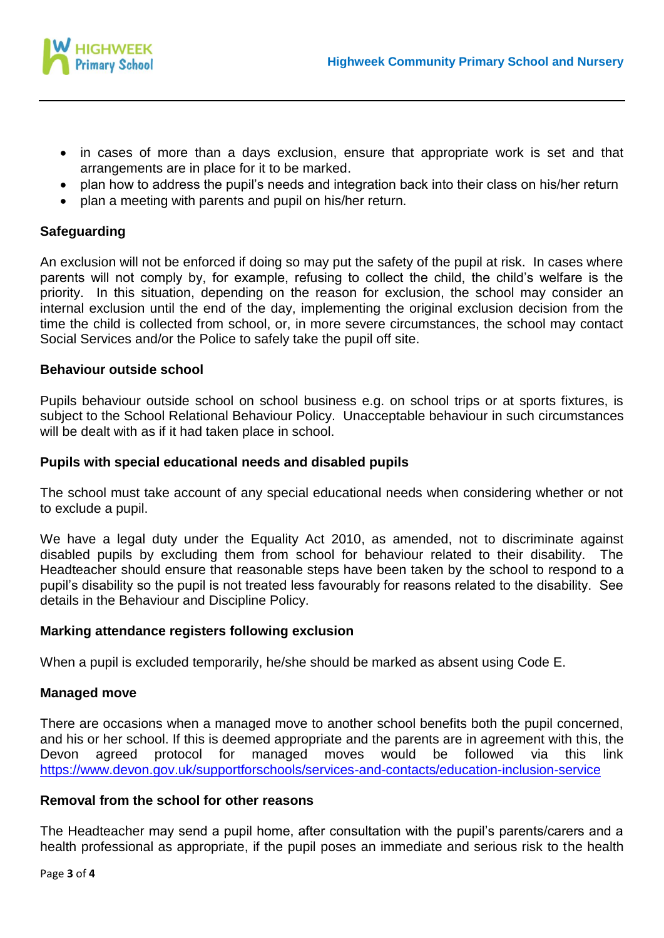

- in cases of more than a days exclusion, ensure that appropriate work is set and that arrangements are in place for it to be marked.
- plan how to address the pupil's needs and integration back into their class on his/her return
- plan a meeting with parents and pupil on his/her return.

## **Safeguarding**

An exclusion will not be enforced if doing so may put the safety of the pupil at risk. In cases where parents will not comply by, for example, refusing to collect the child, the child's welfare is the priority. In this situation, depending on the reason for exclusion, the school may consider an internal exclusion until the end of the day, implementing the original exclusion decision from the time the child is collected from school, or, in more severe circumstances, the school may contact Social Services and/or the Police to safely take the pupil off site.

### **Behaviour outside school**

Pupils behaviour outside school on school business e.g. on school trips or at sports fixtures, is subject to the School Relational Behaviour Policy. Unacceptable behaviour in such circumstances will be dealt with as if it had taken place in school.

### **Pupils with special educational needs and disabled pupils**

The school must take account of any special educational needs when considering whether or not to exclude a pupil.

We have a legal duty under the Equality Act 2010, as amended, not to discriminate against disabled pupils by excluding them from school for behaviour related to their disability. The Headteacher should ensure that reasonable steps have been taken by the school to respond to a pupil's disability so the pupil is not treated less favourably for reasons related to the disability. See details in the Behaviour and Discipline Policy.

## **Marking attendance registers following exclusion**

When a pupil is excluded temporarily, he/she should be marked as absent using Code E.

## **Managed move**

There are occasions when a managed move to another school benefits both the pupil concerned, and his or her school. If this is deemed appropriate and the parents are in agreement with this, the Devon agreed protocol for managed moves would be followed via this link <https://www.devon.gov.uk/supportforschools/services-and-contacts/education-inclusion-service>

#### **Removal from the school for other reasons**

The Headteacher may send a pupil home, after consultation with the pupil's parents/carers and a health professional as appropriate, if the pupil poses an immediate and serious risk to the health